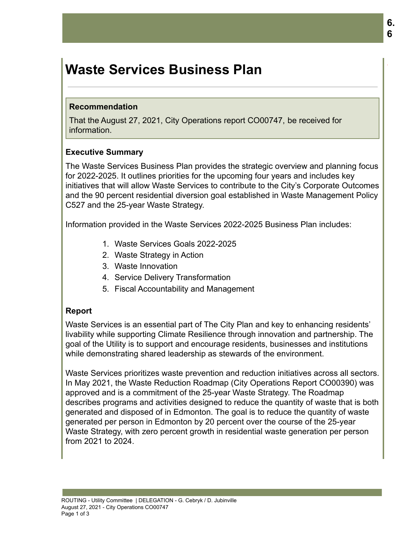# **Waste Services Business Plan**

#### **Recommendation**

That the August 27, 2021, City Operations report CO00747, be received for information.

# **Executive Summary**

The Waste Services Business Plan provides the strategic overview and planning focus for 2022-2025. It outlines priorities for the upcoming four years and includes key initiatives that will allow Waste Services to contribute to the City's Corporate Outcomes and the 90 percent residential diversion goal established in Waste Management Policy C527 and the 25-year Waste Strategy.

Information provided in the Waste Services 2022-2025 Business Plan includes:

- 1. Waste Services Goals 2022-2025
- 2. Waste Strategy in Action
- 3. Waste Innovation
- 4. Service Delivery Transformation
- 5. Fiscal Accountability and Management

# **Report**

Waste Services is an essential part of The City Plan and key to enhancing residents' livability while supporting Climate Resilience through innovation and partnership. The goal of the Utility is to support and encourage residents, businesses and institutions while demonstrating shared leadership as stewards of the environment.

Waste Services prioritizes waste prevention and reduction initiatives across all sectors. In May 2021, the Waste Reduction Roadmap (City Operations Report CO00390) was approved and is a commitment of the 25-year Waste Strategy. The Roadmap describes programs and activities designed to reduce the quantity of waste that is both generated and disposed of in Edmonton. The goal is to reduce the quantity of waste generated per person in Edmonton by 20 percent over the course of the 25-year Waste Strategy, with zero percent growth in residential waste generation per person from 2021 to 2024.

.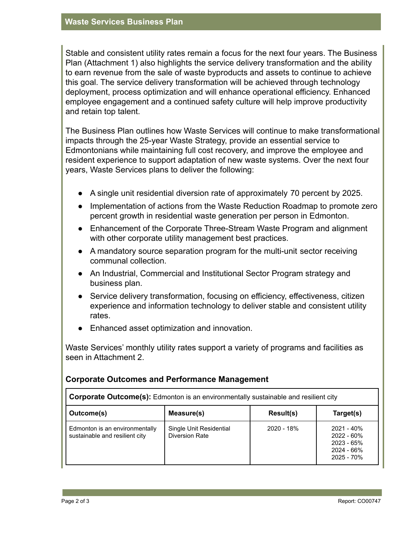Stable and consistent utility rates remain a focus for the next four years. The Business Plan (Attachment 1) also highlights the service delivery transformation and the ability to earn revenue from the sale of waste byproducts and assets to continue to achieve this goal. The service delivery transformation will be achieved through technology deployment, process optimization and will enhance operational efficiency. Enhanced employee engagement and a continued safety culture will help improve productivity and retain top talent.

The Business Plan outlines how Waste Services will continue to make transformational impacts through the 25-year Waste Strategy, provide an essential service to Edmontonians while maintaining full cost recovery, and improve the employee and resident experience to support adaptation of new waste systems. Over the next four years, Waste Services plans to deliver the following:

- A single unit residential diversion rate of approximately 70 percent by 2025.
- Implementation of actions from the Waste Reduction Roadmap to promote zero percent growth in residential waste generation per person in Edmonton.
- Enhancement of the Corporate Three-Stream Waste Program and alignment with other corporate utility management best practices.
- A mandatory source separation program for the multi-unit sector receiving communal collection.
- An Industrial, Commercial and Institutional Sector Program strategy and business plan.
- Service delivery transformation, focusing on efficiency, effectiveness, citizen experience and information technology to deliver stable and consistent utility rates.
- Enhanced asset optimization and innovation.

Waste Services' monthly utility rates support a variety of programs and facilities as seen in Attachment 2.

#### **Corporate Outcomes and Performance Management**

| <b>Corporate Outcome(s):</b> Edmonton is an environmentally sustainable and resilient city |                                                  |            |                                                                          |
|--------------------------------------------------------------------------------------------|--------------------------------------------------|------------|--------------------------------------------------------------------------|
| Outcome(s)                                                                                 | Measure(s)                                       | Result(s)  | Target(s)                                                                |
| Edmonton is an environmentally<br>sustainable and resilient city                           | Single Unit Residential<br><b>Diversion Rate</b> | 2020 - 18% | $2021 - 40%$<br>$2022 - 60%$<br>$2023 - 65%$<br>2024 - 66%<br>2025 - 70% |